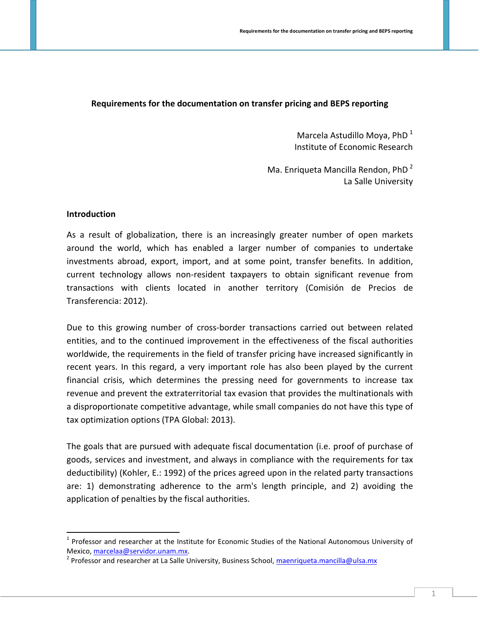## **Requirements for the documentation on transfer pricing and BEPS reporting**

Marcela Astudillo Moya, PhD $<sup>1</sup>$  $<sup>1</sup>$  $<sup>1</sup>$ </sup> Institute of Economic Research

Ma. Enriqueta Mancilla Rendon, PhD<sup>[2](#page-0-1)</sup> La Salle University

#### **Introduction**

As a result of globalization, there is an increasingly greater number of open markets around the world, which has enabled a larger number of companies to undertake investments abroad, export, import, and at some point, transfer benefits. In addition, current technology allows non-resident taxpayers to obtain significant revenue from transactions with clients located in another territory (Comisión de Precios de Transferencia: 2012).

Due to this growing number of cross-border transactions carried out between related entities, and to the continued improvement in the effectiveness of the fiscal authorities worldwide, the requirements in the field of transfer pricing have increased significantly in recent years. In this regard, a very important role has also been played by the current financial crisis, which determines the pressing need for governments to increase tax revenue and prevent the extraterritorial tax evasion that provides the multinationals with a disproportionate competitive advantage, while small companies do not have this type of tax optimization options (TPA Global: 2013).

The goals that are pursued with adequate fiscal documentation (i.e. proof of purchase of goods, services and investment, and always in compliance with the requirements for tax deductibility) (Kohler, E.: 1992) of the prices agreed upon in the related party transactions are: 1) demonstrating adherence to the arm's length principle, and 2) avoiding the application of penalties by the fiscal authorities.

<span id="page-0-0"></span> $1$  Professor and researcher at the Institute for Economic Studies of the National Autonomous University of Mexico[, marcelaa@servidor.unam.mx.](mailto:marcelaa@servidor.unam.mx)<br><sup>2</sup> Professor and researcher at La Salle University, Business School[, maenriqueta.mancilla@ulsa.mx](mailto:maenriqueta.mancilla@ulsa.mx)

<span id="page-0-1"></span>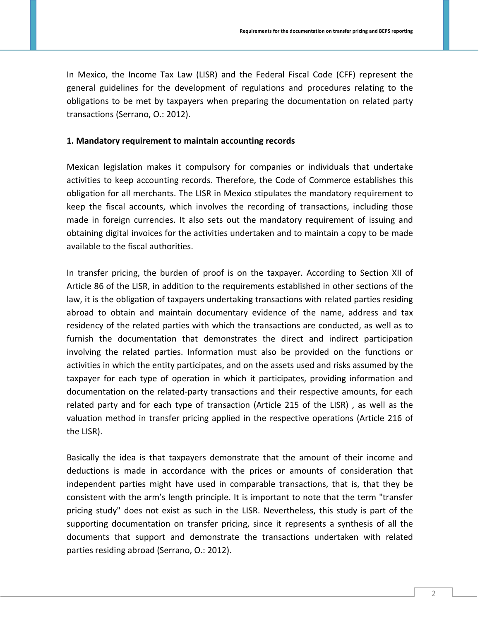In Mexico, the Income Tax Law (LISR) and the Federal Fiscal Code (CFF) represent the general guidelines for the development of regulations and procedures relating to the obligations to be met by taxpayers when preparing the documentation on related party transactions (Serrano, O.: 2012).

#### **1. Mandatory requirement to maintain accounting records**

Mexican legislation makes it compulsory for companies or individuals that undertake activities to keep accounting records. Therefore, the Code of Commerce establishes this obligation for all merchants. The LISR in Mexico stipulates the mandatory requirement to keep the fiscal accounts, which involves the recording of transactions, including those made in foreign currencies. It also sets out the mandatory requirement of issuing and obtaining digital invoices for the activities undertaken and to maintain a copy to be made available to the fiscal authorities.

In transfer pricing, the burden of proof is on the taxpayer. According to Section XII of Article 86 of the LISR, in addition to the requirements established in other sections of the law, it is the obligation of taxpayers undertaking transactions with related parties residing abroad to obtain and maintain documentary evidence of the name, address and tax residency of the related parties with which the transactions are conducted, as well as to furnish the documentation that demonstrates the direct and indirect participation involving the related parties. Information must also be provided on the functions or activities in which the entity participates, and on the assets used and risks assumed by the taxpayer for each type of operation in which it participates, providing information and documentation on the related-party transactions and their respective amounts, for each related party and for each type of transaction (Article 215 of the LISR) , as well as the valuation method in transfer pricing applied in the respective operations (Article 216 of the LISR).

Basically the idea is that taxpayers demonstrate that the amount of their income and deductions is made in accordance with the prices or amounts of consideration that independent parties might have used in comparable transactions, that is, that they be consistent with the arm's length principle. It is important to note that the term "transfer pricing study" does not exist as such in the LISR. Nevertheless, this study is part of the supporting documentation on transfer pricing, since it represents a synthesis of all the documents that support and demonstrate the transactions undertaken with related parties residing abroad (Serrano, O.: 2012).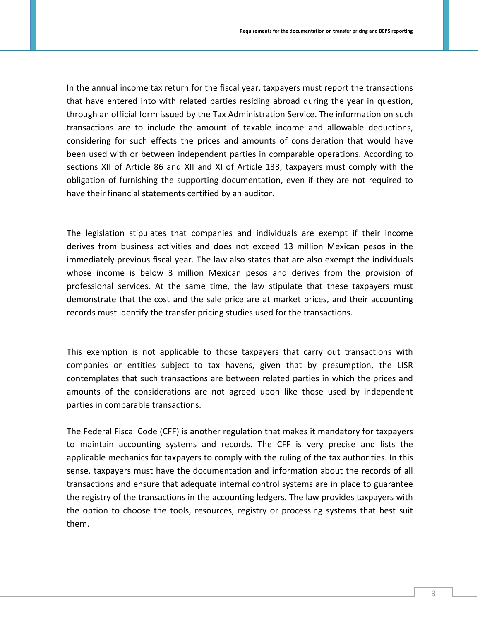In the annual income tax return for the fiscal year, taxpayers must report the transactions that have entered into with related parties residing abroad during the year in question, through an official form issued by the Tax Administration Service. The information on such transactions are to include the amount of taxable income and allowable deductions, considering for such effects the prices and amounts of consideration that would have been used with or between independent parties in comparable operations. According to sections XII of Article 86 and XII and XI of Article 133, taxpayers must comply with the obligation of furnishing the supporting documentation, even if they are not required to have their financial statements certified by an auditor.

The legislation stipulates that companies and individuals are exempt if their income derives from business activities and does not exceed 13 million Mexican pesos in the immediately previous fiscal year. The law also states that are also exempt the individuals whose income is below 3 million Mexican pesos and derives from the provision of professional services. At the same time, the law stipulate that these taxpayers must demonstrate that the cost and the sale price are at market prices, and their accounting records must identify the transfer pricing studies used for the transactions.

This exemption is not applicable to those taxpayers that carry out transactions with companies or entities subject to tax havens, given that by presumption, the LISR contemplates that such transactions are between related parties in which the prices and amounts of the considerations are not agreed upon like those used by independent parties in comparable transactions.

The Federal Fiscal Code (CFF) is another regulation that makes it mandatory for taxpayers to maintain accounting systems and records. The CFF is very precise and lists the applicable mechanics for taxpayers to comply with the ruling of the tax authorities. In this sense, taxpayers must have the documentation and information about the records of all transactions and ensure that adequate internal control systems are in place to guarantee the registry of the transactions in the accounting ledgers. The law provides taxpayers with the option to choose the tools, resources, registry or processing systems that best suit them.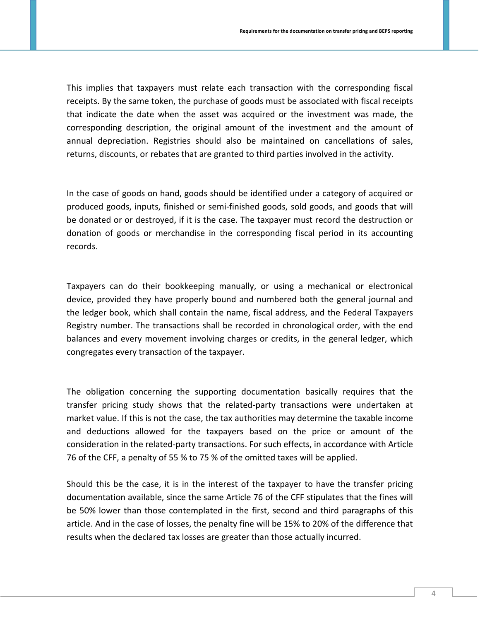This implies that taxpayers must relate each transaction with the corresponding fiscal receipts. By the same token, the purchase of goods must be associated with fiscal receipts that indicate the date when the asset was acquired or the investment was made, the corresponding description, the original amount of the investment and the amount of annual depreciation. Registries should also be maintained on cancellations of sales, returns, discounts, or rebates that are granted to third parties involved in the activity.

In the case of goods on hand, goods should be identified under a category of acquired or produced goods, inputs, finished or semi-finished goods, sold goods, and goods that will be donated or or destroyed, if it is the case. The taxpayer must record the destruction or donation of goods or merchandise in the corresponding fiscal period in its accounting records.

Taxpayers can do their bookkeeping manually, or using a mechanical or electronical device, provided they have properly bound and numbered both the general journal and the ledger book, which shall contain the name, fiscal address, and the Federal Taxpayers Registry number. The transactions shall be recorded in chronological order, with the end balances and every movement involving charges or credits, in the general ledger, which congregates every transaction of the taxpayer.

The obligation concerning the supporting documentation basically requires that the transfer pricing study shows that the related-party transactions were undertaken at market value. If this is not the case, the tax authorities may determine the taxable income and deductions allowed for the taxpayers based on the price or amount of the consideration in the related-party transactions. For such effects, in accordance with Article 76 of the CFF, a penalty of 55 % to 75 % of the omitted taxes will be applied.

Should this be the case, it is in the interest of the taxpayer to have the transfer pricing documentation available, since the same Article 76 of the CFF stipulates that the fines will be 50% lower than those contemplated in the first, second and third paragraphs of this article. And in the case of losses, the penalty fine will be 15% to 20% of the difference that results when the declared tax losses are greater than those actually incurred.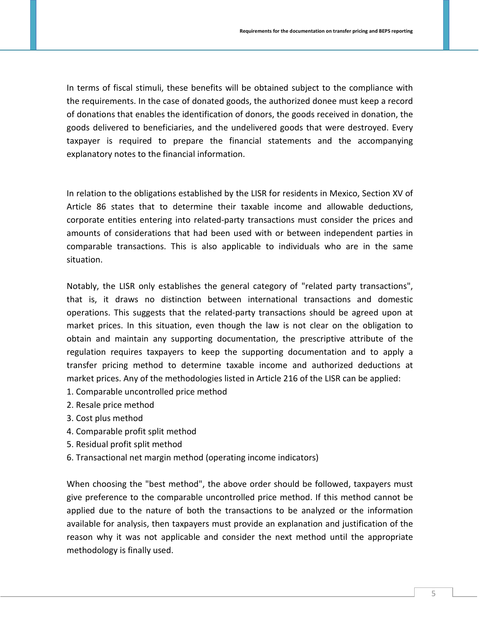In terms of fiscal stimuli, these benefits will be obtained subject to the compliance with the requirements. In the case of donated goods, the authorized donee must keep a record of donations that enables the identification of donors, the goods received in donation, the goods delivered to beneficiaries, and the undelivered goods that were destroyed. Every taxpayer is required to prepare the financial statements and the accompanying explanatory notes to the financial information.

In relation to the obligations established by the LISR for residents in Mexico, Section XV of Article 86 states that to determine their taxable income and allowable deductions, corporate entities entering into related-party transactions must consider the prices and amounts of considerations that had been used with or between independent parties in comparable transactions. This is also applicable to individuals who are in the same situation.

Notably, the LISR only establishes the general category of "related party transactions", that is, it draws no distinction between international transactions and domestic operations. This suggests that the related-party transactions should be agreed upon at market prices. In this situation, even though the law is not clear on the obligation to obtain and maintain any supporting documentation, the prescriptive attribute of the regulation requires taxpayers to keep the supporting documentation and to apply a transfer pricing method to determine taxable income and authorized deductions at market prices. Any of the methodologies listed in Article 216 of the LISR can be applied:

- 1. Comparable uncontrolled price method
- 2. Resale price method
- 3. Cost plus method
- 4. Comparable profit split method
- 5. Residual profit split method
- 6. Transactional net margin method (operating income indicators)

When choosing the "best method", the above order should be followed, taxpayers must give preference to the comparable uncontrolled price method. If this method cannot be applied due to the nature of both the transactions to be analyzed or the information available for analysis, then taxpayers must provide an explanation and justification of the reason why it was not applicable and consider the next method until the appropriate methodology is finally used.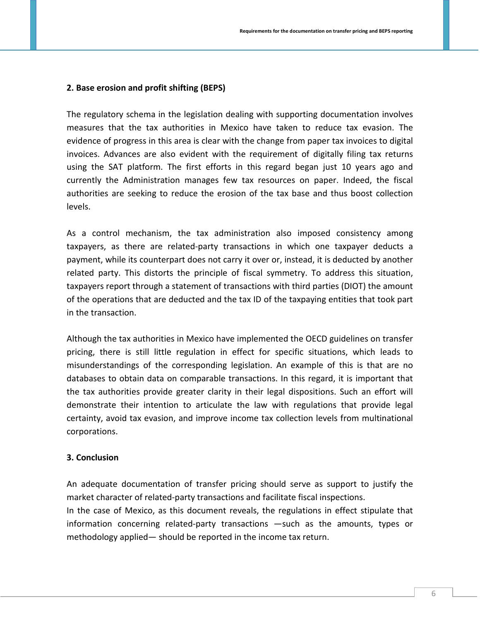### **2. Base erosion and profit shifting (BEPS)**

The regulatory schema in the legislation dealing with supporting documentation involves measures that the tax authorities in Mexico have taken to reduce tax evasion. The evidence of progress in this area is clear with the change from paper tax invoices to digital invoices. Advances are also evident with the requirement of digitally filing tax returns using the SAT platform. The first efforts in this regard began just 10 years ago and currently the Administration manages few tax resources on paper. Indeed, the fiscal authorities are seeking to reduce the erosion of the tax base and thus boost collection levels.

As a control mechanism, the tax administration also imposed consistency among taxpayers, as there are related-party transactions in which one taxpayer deducts a payment, while its counterpart does not carry it over or, instead, it is deducted by another related party. This distorts the principle of fiscal symmetry. To address this situation, taxpayers report through a statement of transactions with third parties (DIOT) the amount of the operations that are deducted and the tax ID of the taxpaying entities that took part in the transaction.

Although the tax authorities in Mexico have implemented the OECD guidelines on transfer pricing, there is still little regulation in effect for specific situations, which leads to misunderstandings of the corresponding legislation. An example of this is that are no databases to obtain data on comparable transactions. In this regard, it is important that the tax authorities provide greater clarity in their legal dispositions. Such an effort will demonstrate their intention to articulate the law with regulations that provide legal certainty, avoid tax evasion, and improve income tax collection levels from multinational corporations.

#### **3. Conclusion**

An adequate documentation of transfer pricing should serve as support to justify the market character of related-party transactions and facilitate fiscal inspections.

In the case of Mexico, as this document reveals, the regulations in effect stipulate that information concerning related-party transactions —such as the amounts, types or methodology applied— should be reported in the income tax return.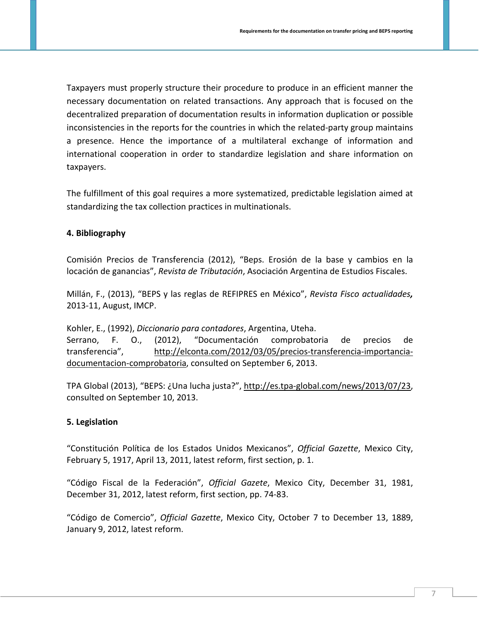Taxpayers must properly structure their procedure to produce in an efficient manner the necessary documentation on related transactions. Any approach that is focused on the decentralized preparation of documentation results in information duplication or possible inconsistencies in the reports for the countries in which the related-party group maintains a presence. Hence the importance of a multilateral exchange of information and international cooperation in order to standardize legislation and share information on taxpayers.

The fulfillment of this goal requires a more systematized, predictable legislation aimed at standardizing the tax collection practices in multinationals.

## **4. Bibliography**

Comisión Precios de Transferencia (2012), "Beps. Erosión de la base y cambios en la locación de ganancias", *Revista de Tributación*, Asociación Argentina de Estudios Fiscales.

Millán, F., (2013), "BEPS y las reglas de REFIPRES en México", *Revista Fisco actualidades,*  2013-11, August, IMCP.

Kohler, E., (1992), *Diccionario para contadores*, Argentina, Uteha. Serrano, F. O., (2012), "Documentación comprobatoria de precios de transferencia", [http://elconta.com/2012/03/05/precios-transferencia-importancia](http://elconta.com/2012/03/05/precios-transferencia-importancia-documentacion-comprobatoria)[documentacion-comprobatoria,](http://elconta.com/2012/03/05/precios-transferencia-importancia-documentacion-comprobatoria) consulted on September 6, 2013.

TPA Global (2013), "BEPS: ¿Una lucha justa?", [http://es.tpa-global.com/news/2013/07/23,](http://es.tpa-global.com/news/2013/07/23) consulted on September 10, 2013.

# **5. Legislation**

"Constitución Política de los Estados Unidos Mexicanos", *Official Gazette*, Mexico City, February 5, 1917, April 13, 2011, latest reform, first section, p. 1.

"Código Fiscal de la Federación", *Official Gazete*, Mexico City, December 31, 1981, December 31, 2012, latest reform, first section, pp. 74-83.

"Código de Comercio", *Official Gazette*, Mexico City, October 7 to December 13, 1889, January 9, 2012, latest reform.